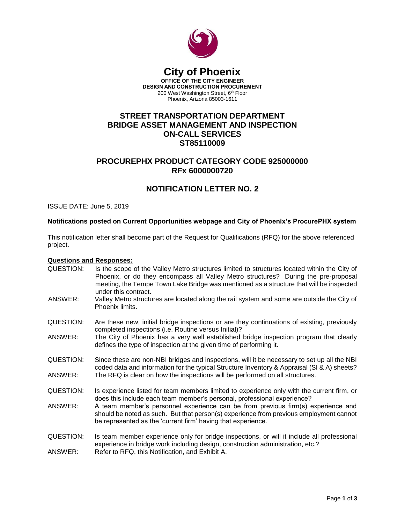

#### **City of Phoenix OFFICE OF THE CITY ENGINEER DESIGN AND CONSTRUCTION PROCUREMENT** 200 West Washington Street, 6<sup>th</sup> Floor

Phoenix, Arizona 85003-1611

## **STREET TRANSPORTATION DEPARTMENT BRIDGE ASSET MANAGEMENT AND INSPECTION ON-CALL SERVICES ST85110009**

## **PROCUREPHX PRODUCT CATEGORY CODE 925000000 RFx 6000000720**

## **NOTIFICATION LETTER NO. 2**

ISSUE DATE: June 5, 2019

#### **Notifications posted on Current Opportunities webpage and City of Phoenix's ProcurePHX system**

This notification letter shall become part of the Request for Qualifications (RFQ) for the above referenced project.

#### **Questions and Responses:**

- QUESTION: Is the scope of the Valley Metro structures limited to structures located within the City of Phoenix, or do they encompass all Valley Metro structures? During the pre-proposal meeting, the Tempe Town Lake Bridge was mentioned as a structure that will be inspected under this contract. ANSWER: Valley Metro structures are located along the rail system and some are outside the City of Phoenix limits. QUESTION: Are these new, initial bridge inspections or are they continuations of existing, previously completed inspections (i.e. Routine versus Initial)? ANSWER: The City of Phoenix has a very well established bridge inspection program that clearly defines the type of inspection at the given time of performing it.
- QUESTION: Since these are non-NBI bridges and inspections, will it be necessary to set up all the NBI coded data and information for the typical Structure Inventory & Appraisal (SI & A) sheets? ANSWER: The RFQ is clear on how the inspections will be performed on all structures.
- QUESTION: Is experience listed for team members limited to experience only with the current firm, or does this include each team member's personal, professional experience?
- ANSWER: A team member's personnel experience can be from previous firm(s) experience and should be noted as such. But that person(s) experience from previous employment cannot be represented as the 'current firm' having that experience.
- QUESTION: Is team member experience only for bridge inspections, or will it include all professional experience in bridge work including design, construction administration, etc.?
- ANSWER: Refer to RFQ, this Notification, and Exhibit A.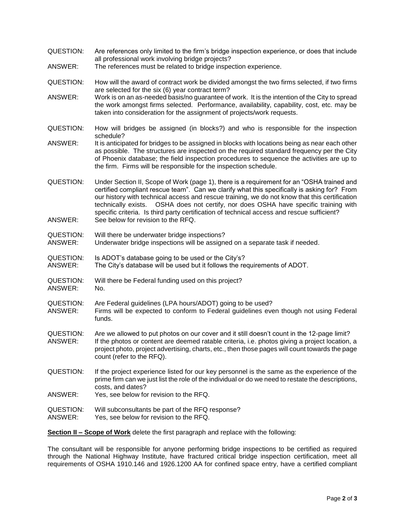- QUESTION: Are references only limited to the firm's bridge inspection experience, or does that include all professional work involving bridge projects?
- ANSWER: The references must be related to bridge inspection experience.
- QUESTION: How will the award of contract work be divided amongst the two firms selected, if two firms are selected for the six (6) year contract term?
- ANSWER: Work is on an as-needed basis/no guarantee of work. It is the intention of the City to spread the work amongst firms selected. Performance, availability, capability, cost, etc. may be taken into consideration for the assignment of projects/work requests.
- QUESTION: How will bridges be assigned (in blocks?) and who is responsible for the inspection schedule?
- ANSWER: It is anticipated for bridges to be assigned in blocks with locations being as near each other as possible. The structures are inspected on the required standard frequency per the City of Phoenix database; the field inspection procedures to sequence the activities are up to the firm. Firms will be responsible for the inspection schedule.
- QUESTION: Under Section II, Scope of Work (page 1), there is a requirement for an "OSHA trained and certified compliant rescue team". Can we clarify what this specifically is asking for? From our history with technical access and rescue training, we do not know that this certification technically exists. OSHA does not certify, nor does OSHA have specific training with specific criteria. Is third party certification of technical access and rescue sufficient? ANSWER: See below for revision to the RFQ.
- QUESTION: Will there be underwater bridge inspections?
- ANSWER: Underwater bridge inspections will be assigned on a separate task if needed.
- QUESTION: Is ADOT's database going to be used or the City's?
- ANSWER: The City's database will be used but it follows the requirements of ADOT.
- QUESTION: Will there be Federal funding used on this project?
- ANSWER: No.
- QUESTION: Are Federal guidelines (LPA hours/ADOT) going to be used?
- ANSWER: Firms will be expected to conform to Federal guidelines even though not using Federal funds.
- QUESTION: Are we allowed to put photos on our cover and it still doesn't count in the 12-page limit? ANSWER: If the photos or content are deemed ratable criteria, i.e. photos giving a project location, a project photo, project advertising, charts, etc., then those pages will count towards the page count (refer to the RFQ).
- QUESTION: If the project experience listed for our key personnel is the same as the experience of the prime firm can we just list the role of the individual or do we need to restate the descriptions, costs, and dates?
- ANSWER: Yes, see below for revision to the RFQ.
- QUESTION: Will subconsultants be part of the RFQ response?
- ANSWER: Yes, see below for revision to the RFQ.

**Section II – Scope of Work** delete the first paragraph and replace with the following:

The consultant will be responsible for anyone performing bridge inspections to be certified as required through the National Highway Institute, have fractured critical bridge inspection certification, meet all requirements of OSHA 1910.146 and 1926.1200 AA for confined space entry, have a certified compliant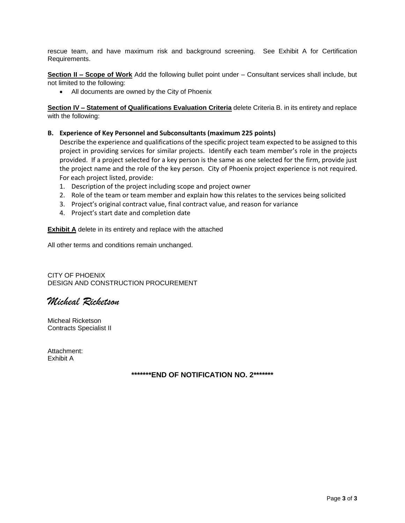rescue team, and have maximum risk and background screening. See Exhibit A for Certification Requirements.

**Section II – Scope of Work** Add the following bullet point under – Consultant services shall include, but not limited to the following:

• All documents are owned by the City of Phoenix

**Section IV - Statement of Qualifications Evaluation Criteria** delete Criteria B. in its entirety and replace with the following:

#### **B. Experience of Key Personnel and Subconsultants (maximum 225 points)**

Describe the experience and qualifications of the specific project team expected to be assigned to this project in providing services for similar projects. Identify each team member's role in the projects provided. If a project selected for a key person is the same as one selected for the firm, provide just the project name and the role of the key person. City of Phoenix project experience is not required. For each project listed, provide:

- 1. Description of the project including scope and project owner
- 2. Role of the team or team member and explain how this relates to the services being solicited
- 3. Project's original contract value, final contract value, and reason for variance
- 4. Project's start date and completion date

**Exhibit A** delete in its entirety and replace with the attached

All other terms and conditions remain unchanged.

CITY OF PHOENIX DESIGN AND CONSTRUCTION PROCUREMENT

*Micheal Ricketson*

Micheal Ricketson Contracts Specialist II

Attachment: Exhibit A

### **\*\*\*\*\*\*\*END OF NOTIFICATION NO. 2\*\*\*\*\*\*\***